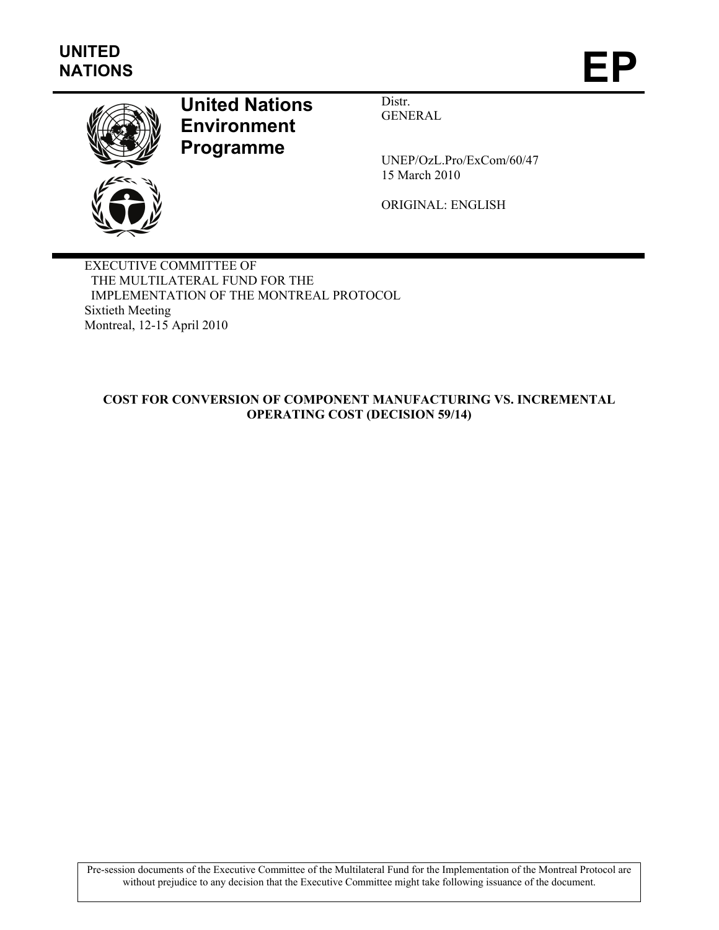

## **United Nations Environment Programme**

Distr. GENERAL

UNEP/OzL.Pro/ExCom/60/47 15 March 2010

ORIGINAL: ENGLISH

EXECUTIVE COMMITTEE OF THE MULTILATERAL FUND FOR THE IMPLEMENTATION OF THE MONTREAL PROTOCOL Sixtieth Meeting Montreal, 12-15 April 2010

## **COST FOR CONVERSION OF COMPONENT MANUFACTURING VS. INCREMENTAL OPERATING COST (DECISION 59/14)**

Pre-session documents of the Executive Committee of the Multilateral Fund for the Implementation of the Montreal Protocol are without prejudice to any decision that the Executive Committee might take following issuance of the document.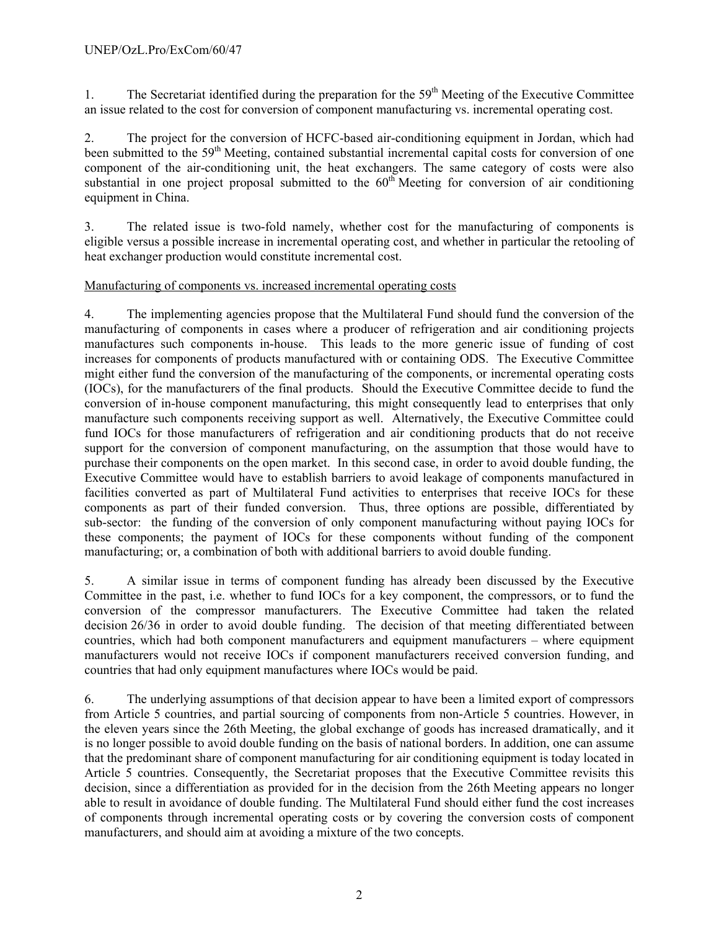1. The Secretariat identified during the preparation for the 59<sup>th</sup> Meeting of the Executive Committee an issue related to the cost for conversion of component manufacturing vs. incremental operating cost.

2. The project for the conversion of HCFC-based air-conditioning equipment in Jordan, which had been submitted to the 59<sup>th</sup> Meeting, contained substantial incremental capital costs for conversion of one component of the air-conditioning unit, the heat exchangers. The same category of costs were also substantial in one project proposal submitted to the  $60<sup>th</sup>$  Meeting for conversion of air conditioning equipment in China.

3. The related issue is two-fold namely, whether cost for the manufacturing of components is eligible versus a possible increase in incremental operating cost, and whether in particular the retooling of heat exchanger production would constitute incremental cost.

## Manufacturing of components vs. increased incremental operating costs

4. The implementing agencies propose that the Multilateral Fund should fund the conversion of the manufacturing of components in cases where a producer of refrigeration and air conditioning projects manufactures such components in-house. This leads to the more generic issue of funding of cost increases for components of products manufactured with or containing ODS. The Executive Committee might either fund the conversion of the manufacturing of the components, or incremental operating costs (IOCs), for the manufacturers of the final products. Should the Executive Committee decide to fund the conversion of in-house component manufacturing, this might consequently lead to enterprises that only manufacture such components receiving support as well. Alternatively, the Executive Committee could fund IOCs for those manufacturers of refrigeration and air conditioning products that do not receive support for the conversion of component manufacturing, on the assumption that those would have to purchase their components on the open market. In this second case, in order to avoid double funding, the Executive Committee would have to establish barriers to avoid leakage of components manufactured in facilities converted as part of Multilateral Fund activities to enterprises that receive IOCs for these components as part of their funded conversion. Thus, three options are possible, differentiated by sub-sector: the funding of the conversion of only component manufacturing without paying IOCs for these components; the payment of IOCs for these components without funding of the component manufacturing; or, a combination of both with additional barriers to avoid double funding.

5. A similar issue in terms of component funding has already been discussed by the Executive Committee in the past, i.e. whether to fund IOCs for a key component, the compressors, or to fund the conversion of the compressor manufacturers. The Executive Committee had taken the related decision 26/36 in order to avoid double funding. The decision of that meeting differentiated between countries, which had both component manufacturers and equipment manufacturers – where equipment manufacturers would not receive IOCs if component manufacturers received conversion funding, and countries that had only equipment manufactures where IOCs would be paid.

6. The underlying assumptions of that decision appear to have been a limited export of compressors from Article 5 countries, and partial sourcing of components from non-Article 5 countries. However, in the eleven years since the 26th Meeting, the global exchange of goods has increased dramatically, and it is no longer possible to avoid double funding on the basis of national borders. In addition, one can assume that the predominant share of component manufacturing for air conditioning equipment is today located in Article 5 countries. Consequently, the Secretariat proposes that the Executive Committee revisits this decision, since a differentiation as provided for in the decision from the 26th Meeting appears no longer able to result in avoidance of double funding. The Multilateral Fund should either fund the cost increases of components through incremental operating costs or by covering the conversion costs of component manufacturers, and should aim at avoiding a mixture of the two concepts.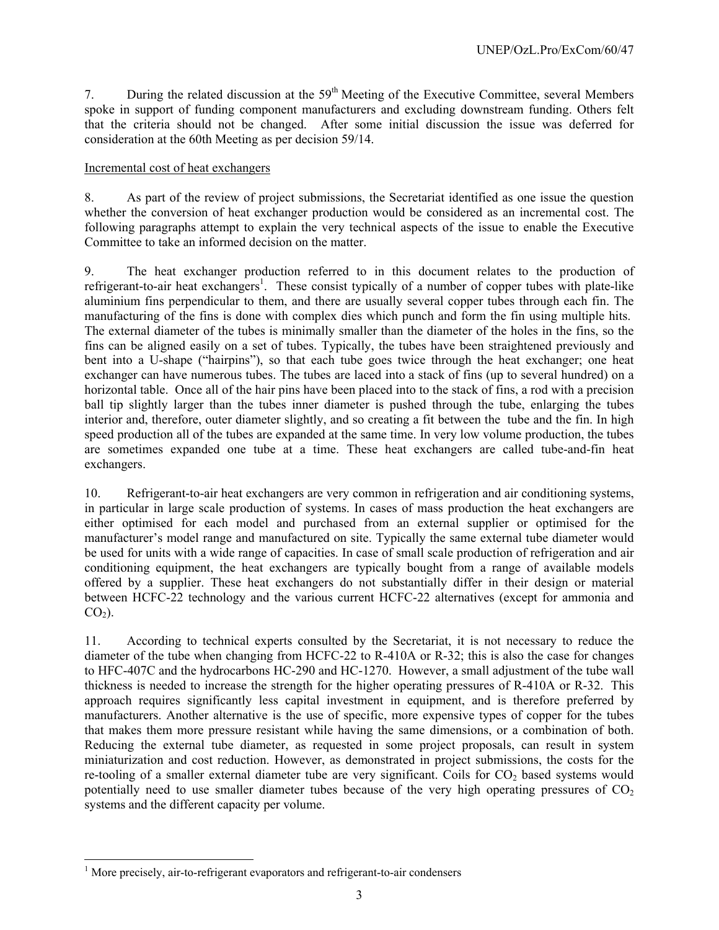7. During the related discussion at the 59<sup>th</sup> Meeting of the Executive Committee, several Members spoke in support of funding component manufacturers and excluding downstream funding. Others felt that the criteria should not be changed. After some initial discussion the issue was deferred for consideration at the 60th Meeting as per decision 59/14.

## Incremental cost of heat exchangers

8. As part of the review of project submissions, the Secretariat identified as one issue the question whether the conversion of heat exchanger production would be considered as an incremental cost. The following paragraphs attempt to explain the very technical aspects of the issue to enable the Executive Committee to take an informed decision on the matter.

9. The heat exchanger production referred to in this document relates to the production of refrigerant-to-air heat exchangers<sup>1</sup>. These consist typically of a number of copper tubes with plate-like aluminium fins perpendicular to them, and there are usually several copper tubes through each fin. The manufacturing of the fins is done with complex dies which punch and form the fin using multiple hits. The external diameter of the tubes is minimally smaller than the diameter of the holes in the fins, so the fins can be aligned easily on a set of tubes. Typically, the tubes have been straightened previously and bent into a U-shape ("hairpins"), so that each tube goes twice through the heat exchanger; one heat exchanger can have numerous tubes. The tubes are laced into a stack of fins (up to several hundred) on a horizontal table. Once all of the hair pins have been placed into to the stack of fins, a rod with a precision ball tip slightly larger than the tubes inner diameter is pushed through the tube, enlarging the tubes interior and, therefore, outer diameter slightly, and so creating a fit between the tube and the fin. In high speed production all of the tubes are expanded at the same time. In very low volume production, the tubes are sometimes expanded one tube at a time. These heat exchangers are called tube-and-fin heat exchangers.

10. Refrigerant-to-air heat exchangers are very common in refrigeration and air conditioning systems, in particular in large scale production of systems. In cases of mass production the heat exchangers are either optimised for each model and purchased from an external supplier or optimised for the manufacturer's model range and manufactured on site. Typically the same external tube diameter would be used for units with a wide range of capacities. In case of small scale production of refrigeration and air conditioning equipment, the heat exchangers are typically bought from a range of available models offered by a supplier. These heat exchangers do not substantially differ in their design or material between HCFC-22 technology and the various current HCFC-22 alternatives (except for ammonia and  $CO<sub>2</sub>$ ).

11. According to technical experts consulted by the Secretariat, it is not necessary to reduce the diameter of the tube when changing from HCFC-22 to R-410A or R-32; this is also the case for changes to HFC-407C and the hydrocarbons HC-290 and HC-1270. However, a small adjustment of the tube wall thickness is needed to increase the strength for the higher operating pressures of R-410A or R-32. This approach requires significantly less capital investment in equipment, and is therefore preferred by manufacturers. Another alternative is the use of specific, more expensive types of copper for the tubes that makes them more pressure resistant while having the same dimensions, or a combination of both. Reducing the external tube diameter, as requested in some project proposals, can result in system miniaturization and cost reduction. However, as demonstrated in project submissions, the costs for the re-tooling of a smaller external diameter tube are very significant. Coils for  $CO<sub>2</sub>$  based systems would potentially need to use smaller diameter tubes because of the very high operating pressures of  $CO<sub>2</sub>$ systems and the different capacity per volume.

 1 More precisely, air-to-refrigerant evaporators and refrigerant-to-air condensers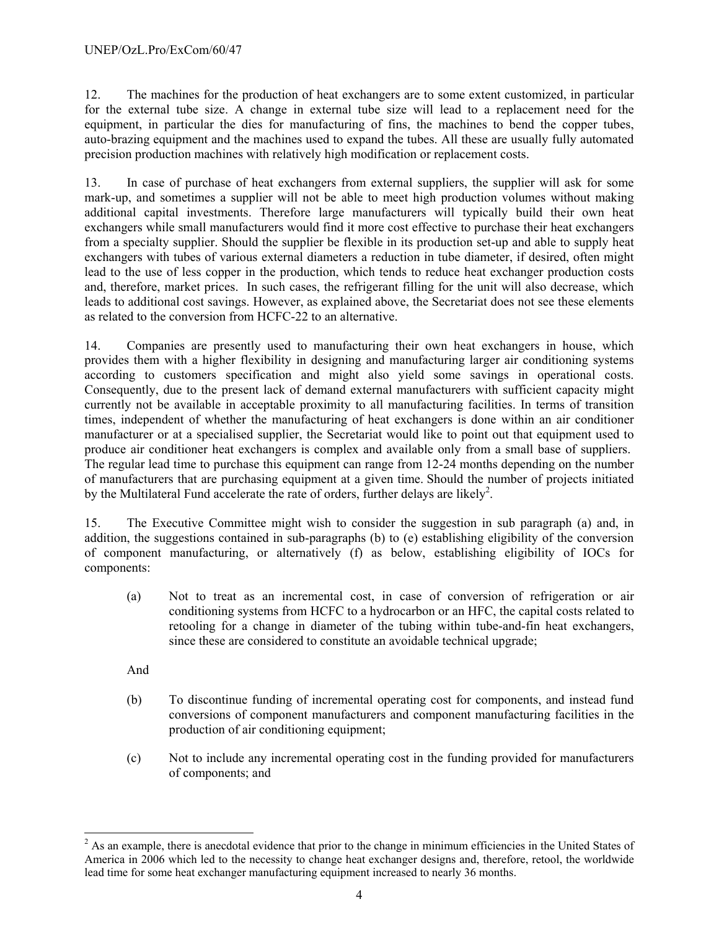12. The machines for the production of heat exchangers are to some extent customized, in particular for the external tube size. A change in external tube size will lead to a replacement need for the equipment, in particular the dies for manufacturing of fins, the machines to bend the copper tubes, auto-brazing equipment and the machines used to expand the tubes. All these are usually fully automated precision production machines with relatively high modification or replacement costs.

13. In case of purchase of heat exchangers from external suppliers, the supplier will ask for some mark-up, and sometimes a supplier will not be able to meet high production volumes without making additional capital investments. Therefore large manufacturers will typically build their own heat exchangers while small manufacturers would find it more cost effective to purchase their heat exchangers from a specialty supplier. Should the supplier be flexible in its production set-up and able to supply heat exchangers with tubes of various external diameters a reduction in tube diameter, if desired, often might lead to the use of less copper in the production, which tends to reduce heat exchanger production costs and, therefore, market prices. In such cases, the refrigerant filling for the unit will also decrease, which leads to additional cost savings. However, as explained above, the Secretariat does not see these elements as related to the conversion from HCFC-22 to an alternative.

14. Companies are presently used to manufacturing their own heat exchangers in house, which provides them with a higher flexibility in designing and manufacturing larger air conditioning systems according to customers specification and might also yield some savings in operational costs. Consequently, due to the present lack of demand external manufacturers with sufficient capacity might currently not be available in acceptable proximity to all manufacturing facilities. In terms of transition times, independent of whether the manufacturing of heat exchangers is done within an air conditioner manufacturer or at a specialised supplier, the Secretariat would like to point out that equipment used to produce air conditioner heat exchangers is complex and available only from a small base of suppliers. The regular lead time to purchase this equipment can range from 12-24 months depending on the number of manufacturers that are purchasing equipment at a given time. Should the number of projects initiated by the Multilateral Fund accelerate the rate of orders, further delays are likely<sup>2</sup>.

15. The Executive Committee might wish to consider the suggestion in sub paragraph (a) and, in addition, the suggestions contained in sub-paragraphs (b) to (e) establishing eligibility of the conversion of component manufacturing, or alternatively (f) as below, establishing eligibility of IOCs for components:

(a) Not to treat as an incremental cost, in case of conversion of refrigeration or air conditioning systems from HCFC to a hydrocarbon or an HFC, the capital costs related to retooling for a change in diameter of the tubing within tube-and-fin heat exchangers, since these are considered to constitute an avoidable technical upgrade;

And

l

- (b) To discontinue funding of incremental operating cost for components, and instead fund conversions of component manufacturers and component manufacturing facilities in the production of air conditioning equipment;
- (c) Not to include any incremental operating cost in the funding provided for manufacturers of components; and

 $2^2$  As an example, there is anecdotal evidence that prior to the change in minimum efficiencies in the United States of America in 2006 which led to the necessity to change heat exchanger designs and, therefore, retool, the worldwide lead time for some heat exchanger manufacturing equipment increased to nearly 36 months.